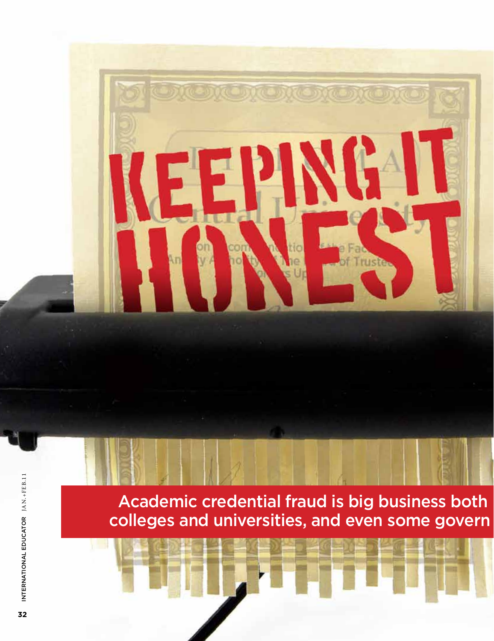

Academic credential fraud is big business both colleges and universities, and even some govern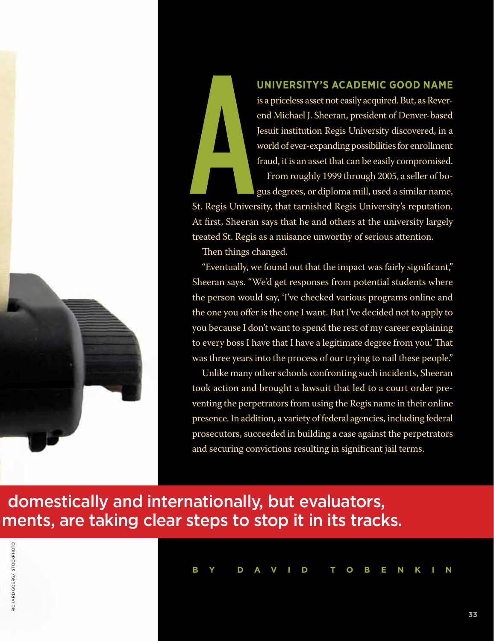

### **university's academic good name**

is a priceless asset not easily acquired. But, as Reverend Michael J. Sheeran, president of Denver-based Jesuit institution Regis University discovered, in a world of ever-expanding possibilities for enrollment fraud, it is an asset that can be easily compromised.

From roughly 1999 through 2005, a seller of bogus degrees, or diploma mill, used a similar name,

St. Regis University, that tarnished Regis University's reputation. At first, Sheeran says that he and others at the university largely treated St. Regis as a nuisance unworthy of serious attention.

Then things changed.

"Eventually, we found out that the impact was fairly significant," Sheeran says. "We'd get responses from potential students where the person would say, 'I've checked various programs online and the one you offer is the one I want. But I've decided not to apply to you because I don't want to spend the rest of my career explaining to every boss I have that I have a legitimate degree from you.' That was three years into the process of our trying to nail these people."

Unlike many other schools confronting such incidents, Sheeran took action and brought a lawsuit that led to a court order preventing the perpetrators from using the Regis name in their online presence. In addition, a variety of federal agencies, including federal prosecutors, succeeded in building a case against the perpetrators and securing convictions resulting in significant jail terms.

## domestically and internationally, but evaluators, ments, are taking clear steps to stop it in its tracks.



**B y D a v i d Tobenk i n**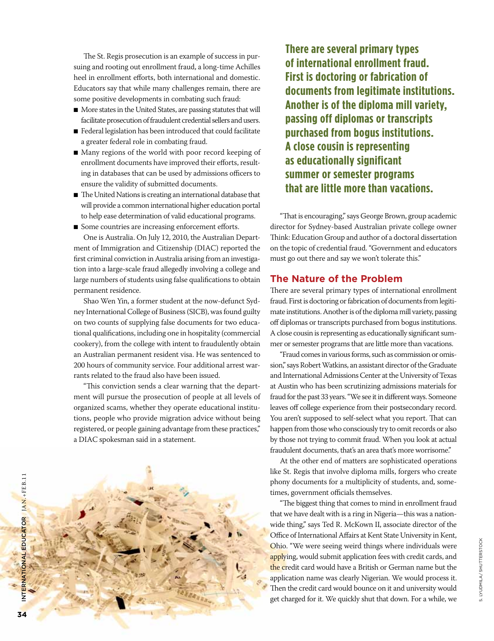The St. Regis prosecution is an example of success in pursuing and rooting out enrollment fraud, a long-time Achilles heel in enrollment efforts, both international and domestic. Educators say that while many challenges remain, there are some positive developments in combating such fraud:

- More states in the United States, are passing statutes that will facilitate prosecution of fraudulent credential sellers and users.
- Federal legislation has been introduced that could facilitate a greater federal role in combating fraud.
- Many regions of the world with poor record keeping of enrollment documents have improved their efforts, resulting in databases that can be used by admissions officers to ensure the validity of submitted documents.
- The United Nations is creating an international database that will provide a common international higher education portal to help ease determination of valid educational programs.

■ Some countries are increasing enforcement efforts. One is Australia. On July 12, 2010, the Australian Department of Immigration and Citizenship (DIAC) reported the first criminal conviction in Australia arising from an investigation into a large-scale fraud allegedly involving a college and large numbers of students using false qualifications to obtain permanent residence.

Shao Wen Yin, a former student at the now-defunct Sydney International College of Business (SICB), was found guilty on two counts of supplying false documents for two educational qualifications, including one in hospitality (commercial cookery), from the college with intent to fraudulently obtain an Australian permanent resident visa. He was sentenced to 200 hours of community service. Four additional arrest warrants related to the fraud also have been issued.

"This conviction sends a clear warning that the department will pursue the prosecution of people at all levels of organized scams, whether they operate educational institutions, people who provide migration advice without being registered, or people gaining advantage from these practices," a DIAC spokesman said in a statement.



**There are several primary types of international enrollment fraud. First is doctoring or fabrication of documents from legitimate institutions. Another is of the diploma mill variety, passing off diplomas or transcripts purchased from bogus institutions. A close cousin is representing as educationally significant summer or semester programs that are little more than vacations.** 

"That is encouraging," says George Brown, group academic director for Sydney-based Australian private college owner Think: Education Group and author of a doctoral dissertation on the topic of credential fraud. "Government and educators must go out there and say we won't tolerate this."

#### **The Nature of the Problem**

There are several primary types of international enrollment fraud. First is doctoring or fabrication of documents from legitimate institutions. Another is of the diploma mill variety, passing off diplomas or transcripts purchased from bogus institutions. A close cousin is representing as educationally significant summer or semester programs that are little more than vacations.

"Fraud comes in various forms, such as commission or omission," says Robert Watkins, an assistant director of the Graduate and International Admissions Center at the University of Texas at Austin who has been scrutinizing admissions materials for fraud for the past 33 years. "We see it in different ways. Someone leaves off college experience from their postsecondary record. You aren't supposed to self-select what you report. That can happen from those who consciously try to omit records or also by those not trying to commit fraud. When you look at actual fraudulent documents, that's an area that's more worrisome."

At the other end of matters are sophisticated operations like St. Regis that involve diploma mills, forgers who create phony documents for a multiplicity of students, and, sometimes, government officials themselves.

"The biggest thing that comes to mind in enrollment fraud that we have dealt with is a ring in Nigeria—this was a nationwide thing," says Ted R. McKown II, associate director of the Office of International Affairs at Kent State University in Kent, Ohio. "We were seeing weird things where individuals were applying, would submit application fees with credit cards, and the credit card would have a British or German name but the application name was clearly Nigerian. We would process it. Then the credit card would bounce on it and university would get charged for it. We quickly shut that down. For a while, we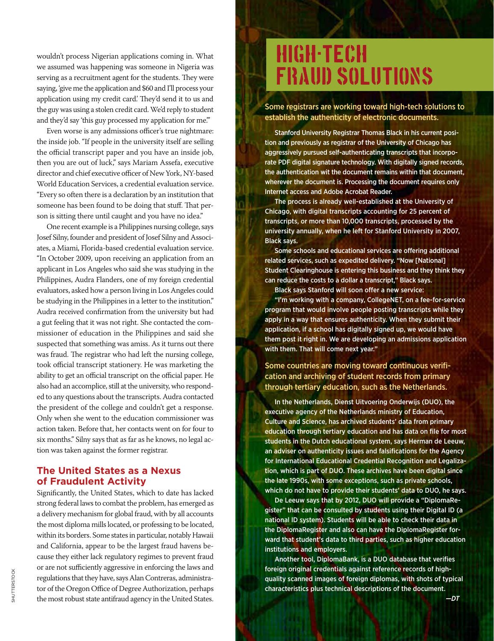wouldn't process Nigerian applications coming in. What we assumed was happening was someone in Nigeria was serving as a recruitment agent for the students. They were saying, 'give me the application and \$60 and I'll process your application using my credit card.' They'd send it to us and the guy was using a stolen credit card. We'd reply to student and they'd say 'this guy processed my application for me."

Even worse is any admissions officer's true nightmare: the inside job. "If people in the university itself are selling the official transcript paper and you have an inside job, then you are out of luck," says Mariam Assefa, executive director and chief executive officer of New York, NY-based World Education Services, a credential evaluation service. "Every so often there is a declaration by an institution that someone has been found to be doing that stuff. That person is sitting there until caught and you have no idea."

One recent example is a Philippines nursing college, says Josef Silny, founder and president of Josef Silny and Associates, a Miami, Florida-based credential evaluation service. "In October 2009, upon receiving an application from an applicant in Los Angeles who said she was studying in the Philippines, Audra Flanders, one of my foreign credential evaluators, asked how a person living in Los Angeles could be studying in the Philippines in a letter to the institution." Audra received confirmation from the university but had a gut feeling that it was not right. She contacted the commissioner of education in the Philippines and said she suspected that something was amiss. As it turns out there was fraud. The registrar who had left the nursing college, took official transcript stationery. He was marketing the ability to get an official transcript on the official paper. He also had an accomplice, still at the university, who responded to any questions about the transcripts. Audra contacted the president of the college and couldn't get a response. Only when she went to the education commissioner was action taken. Before that, her contacts went on for four to six months." Silny says that as far as he knows, no legal action was taken against the former registrar.

#### **The United States as a Nexus of Fraudulent Activity**

Significantly, the United States, which to date has lacked strong federal laws to combat the problem, has emerged as a delivery mechanism for global fraud, with by all accounts the most diploma mills located, or professing to be located, within its borders. Some states in particular, notably Hawaii and California, appear to be the largest fraud havens because they either lack regulatory regimes to prevent fraud or are not sufficiently aggressive in enforcing the laws and regulations that they have, says Alan Contreras, administrator of the Oregon Office of Degree Authorization, perhaps the most robust state antifraud agency in the United States.

# High-Tech Fraud Solutions

Some registrars are working toward high-tech solutions to establish the authenticity of electronic documents.

Stanford University Registrar Thomas Black in his current position and previously as registrar of the University of Chicago has aggressively pursued self-authenticating transcripts that incorporate PDF digital signature technology. With digitally signed records, the authentication wit the document remains within that document, wherever the document is. Processing the document requires only Internet access and Adobe Acrobat Reader.

The process is already well-established at the University of Chicago, with digital transcripts accounting for 25 percent of transcripts, or more than 10,000 transcripts, processed by the university annually, when he left for Stanford University in 2007, Black says.

Some schools and educational services are offering additional related services, such as expedited delivery. "Now [National] Student Clearinghouse is entering this business and they think they can reduce the costs to a dollar a transcript," Black says.

Black says Stanford will soon offer a new service:

"I'm working with a company, CollegeNET, on a fee-for-service program that would involve people posting transcripts while they apply in a way that ensures authenticity. When they submit their application, if a school has digitally signed up, we would have them post it right in. We are developing an admissions application with them. That will come next year."

#### Some countries are moving toward continuous verification and archiving of student records from primary through tertiary education, such as the Netherlands.

In the Netherlands, Dienst Uitvoering Onderwijs (DUO), the executive agency of the Netherlands ministry of Education, Culture and Science, has archived students' data from primary education through tertiary education and has data on file for most students in the Dutch educational system, says Herman de Leeuw, an adviser on authenticity issues and falsifications for the Agency for International Educational Credential Recognition and Legalization, which is part of DUO. These archives have been digital since the late 1990s, with some exceptions, such as private schools, which do not have to provide their students' data to DUO, he says.

De Leeuw says that by 2012, DUO will provide a "DiplomaRegister" that can be consulted by students using their Digital ID (a national ID system). Students will be able to check their data in the DiplomaRegister and also can have the DiplomaRegister forward that student's data to third parties, such as higher education institutions and employers.

Another tool, DiplomaBank, is a DUO database that verifies foreign original credentials against reference records of highquality scanned images of foreign diplomas, with shots of typical characteristics plus technical descriptions of the document.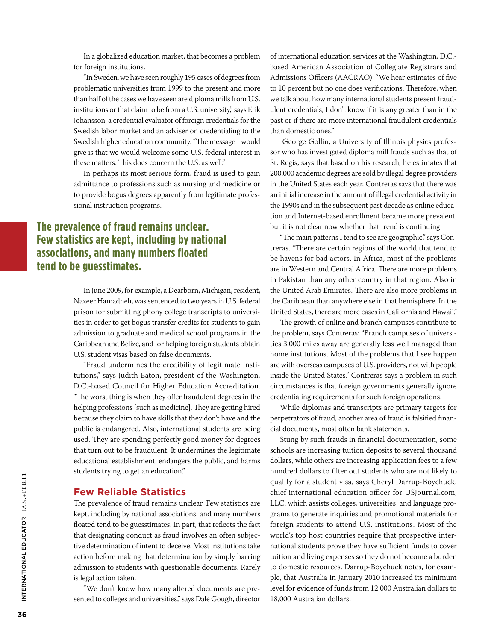In a globalized education market, that becomes a problem for foreign institutions.

"In Sweden, we have seen roughly 195 cases of degrees from problematic universities from 1999 to the present and more than half of the cases we have seen are diploma mills from U.S. institutions or that claim to be from a U.S. university," says Erik Johansson, a credential evaluator of foreign credentials for the Swedish labor market and an adviser on credentialing to the Swedish higher education community. "The message I would give is that we would welcome some U.S. federal interest in these matters. This does concern the U.S. as well."

In perhaps its most serious form, fraud is used to gain admittance to professions such as nursing and medicine or to provide bogus degrees apparently from legitimate professional instruction programs.

## **The prevalence of fraud remains unclear. Few statistics are kept, including by national associations, and many numbers floated tend to be guesstimates.**

In June 2009, for example, a Dearborn, Michigan, resident, Nazeer Hamadneh, was sentenced to two years in U.S. federal prison for submitting phony college transcripts to universities in order to get bogus transfer credits for students to gain admission to graduate and medical school programs in the Caribbean and Belize, and for helping foreign students obtain U.S. student visas based on false documents.

"Fraud undermines the credibility of legitimate institutions," says Judith Eaton, president of the Washington, D.C.-based Council for Higher Education Accreditation. "The worst thing is when they offer fraudulent degrees in the helping professions [such as medicine]. They are getting hired because they claim to have skills that they don't have and the public is endangered. Also, international students are being used. They are spending perfectly good money for degrees that turn out to be fraudulent. It undermines the legitimate educational establishment, endangers the public, and harms students trying to get an education."

#### **Few Reliable Statistics**

The prevalence of fraud remains unclear. Few statistics are kept, including by national associations, and many numbers floated tend to be guesstimates. In part, that reflects the fact that designating conduct as fraud involves an often subjective determination of intent to deceive. Most institutions take action before making that determination by simply barring admission to students with questionable documents. Rarely is legal action taken.

"We don't know how many altered documents are presented to colleges and universities," says Dale Gough, director of international education services at the Washington, D.C. based American Association of Collegiate Registrars and Admissions Officers (AACRAO). "We hear estimates of five to 10 percent but no one does verifications. Therefore, when we talk about how many international students present fraudulent credentials, I don't know if it is any greater than in the past or if there are more international fraudulent credentials than domestic ones."

 George Gollin, a University of Illinois physics professor who has investigated diploma mill frauds such as that of St. Regis, says that based on his research, he estimates that 200,000 academic degrees are sold by illegal degree providers in the United States each year. Contreras says that there was an initial increase in the amount of illegal credential activity in the 1990s and in the subsequent past decade as online education and Internet-based enrollment became more prevalent, but it is not clear now whether that trend is continuing.

"The main patterns I tend to see are geographic," says Contreras. "There are certain regions of the world that tend to be havens for bad actors. In Africa, most of the problems are in Western and Central Africa. There are more problems in Pakistan than any other country in that region. Also in the United Arab Emirates. There are also more problems in the Caribbean than anywhere else in that hemisphere. In the United States, there are more cases in California and Hawaii."

The growth of online and branch campuses contribute to the problem, says Contreras: "Branch campuses of universities 3,000 miles away are generally less well managed than home institutions. Most of the problems that I see happen are with overseas campuses of U.S. providers, not with people inside the United States." Contreras says a problem in such circumstances is that foreign governments generally ignore credentialing requirements for such foreign operations.

While diplomas and transcripts are primary targets for perpetrators of fraud, another area of fraud is falsified financial documents, most often bank statements.

Stung by such frauds in financial documentation, some schools are increasing tuition deposits to several thousand dollars, while others are increasing application fees to a few hundred dollars to filter out students who are not likely to qualify for a student visa, says Cheryl Darrup-Boychuck, chief international education officer for USJournal.com, LLC, which assists colleges, universities, and language programs to generate inquiries and promotional materials for foreign students to attend U.S. institutions. Most of the world's top host countries require that prospective international students prove they have sufficient funds to cover tuition and living expenses so they do not become a burden to domestic resources. Darrup-Boychuck notes, for example, that Australia in January 2010 increased its minimum level for evidence of funds from 12,000 Australian dollars to 18,000 Australian dollars.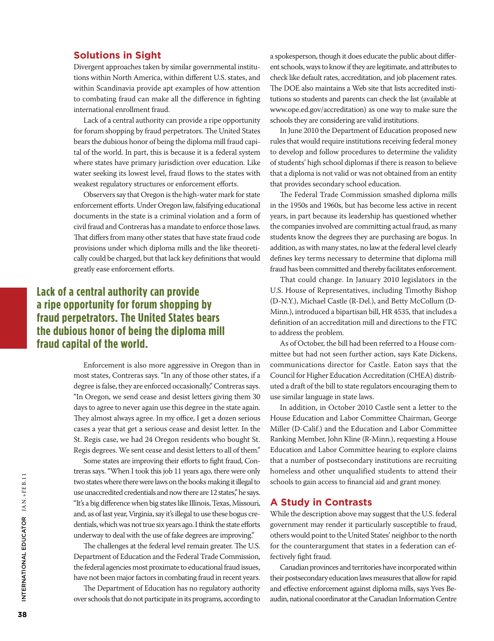#### **Solutions in Sight**

Divergent approaches taken by similar governmental institutions within North America, within different U.S. states, and within Scandinavia provide apt examples of how attention to combating fraud can make all the difference in fighting international enrollment fraud.

Lack of a central authority can provide a ripe opportunity for forum shopping by fraud perpetrators. The United States bears the dubious honor of being the diploma mill fraud capital of the world. In part, this is because it is a federal system where states have primary jurisdiction over education. Like water seeking its lowest level, fraud flows to the states with weakest regulatory structures or enforcement efforts.

Observers say that Oregon is the high-water mark for state enforcement efforts. Under Oregon law, falsifying educational documents in the state is a criminal violation and a form of civil fraud and Contreras has a mandate to enforce those laws. That differs from many other states that have state fraud code provisions under which diploma mills and the like theoretically could be charged, but that lack key definitions that would greatly ease enforcement efforts.

## **Lack of a central authority can provide a ripe opportunity for forum shopping by fraud perpetrators. The United States bears the dubious honor of being the diploma mill fraud capital of the world.**

Enforcement is also more aggressive in Oregon than in most states, Contreras says. "In any of those other states, if a degree is false, they are enforced occasionally," Contreras says. "In Oregon, we send cease and desist letters giving them 30 days to agree to never again use this degree in the state again. They almost always agree. In my office, I get a dozen serious cases a year that get a serious cease and desist letter. In the St. Regis case, we had 24 Oregon residents who bought St. Regis degrees. We sent cease and desist letters to all of them."

Some states are improving their efforts to fight fraud, Contreras says. "When I took this job 11 years ago, there were only two states where there were laws on the books making it illegal to use unaccredited credentials and now there are 12 states," he says. "It's a big difference when big states like Illinois, Texas, Missouri, and, as of last year, Virginia, say it's illegal to use these bogus credentials, which was not true six years ago. I think the state efforts underway to deal with the use of fake degrees are improving."

The challenges at the federal level remain greater. The U.S. Department of Education and the Federal Trade Commission, the federal agencies most proximate to educational fraud issues, have not been major factors in combating fraud in recent years.

The Department of Education has no regulatory authority over schools that do not participate in its programs, according to a spokesperson, though it does educate the public about different schools, ways to know if they are legitimate, and attributes to check like default rates, accreditation, and job placement rates. The DOE also maintains a Web site that lists accredited institutions so students and parents can check the list (available at www.ope.ed.gov/accreditation) as one way to make sure the schools they are considering are valid institutions.

In June 2010 the Department of Education proposed new rules that would require institutions receiving federal money to develop and follow procedures to determine the validity of students' high school diplomas if there is reason to believe that a diploma is not valid or was not obtained from an entity that provides secondary school education.

The Federal Trade Commission smashed diploma mills in the 1950s and 1960s, but has become less active in recent years, in part because its leadership has questioned whether the companies involved are committing actual fraud, as many students know the degrees they are purchasing are bogus. In addition, as with many states, no law at the federal level clearly defines key terms necessary to determine that diploma mill fraud has been committed and thereby facilitates enforcement.

That could change. In January 2010 legislators in the U.S. House of Representatives, including Timothy Bishop (D-N.Y.), Michael Castle (R-Del.), and Betty McCollum (D-Minn.), introduced a bipartisan bill, HR 4535, that includes a definition of an accreditation mill and directions to the FTC to address the problem.

As of October, the bill had been referred to a House committee but had not seen further action, says Kate Dickens, communications director for Castle. Eaton says that the Council for Higher Education Accreditation (CHEA) distributed a draft of the bill to state regulators encouraging them to use similar language in state laws.

In addition, in October 2010 Castle sent a letter to the House Education and Labor Committee Chairman, George Miller (D-Calif.) and the Education and Labor Committee Ranking Member, John Kline (R-Minn.), requesting a House Education and Labor Committee hearing to explore claims that a number of postsecondary institutions are recruiting homeless and other unqualified students to attend their schools to gain access to financial aid and grant money.

#### **A Study in Contrasts**

While the description above may suggest that the U.S. federal government may render it particularly susceptible to fraud, others would point to the United States' neighbor to the north for the counterargument that states in a federation can effectively fight fraud.

Canadian provinces and territories have incorporated within their postsecondary education laws measures that allow for rapid and effective enforcement against diploma mills, says Yves Beaudin, national coordinator at the Canadian Information Centre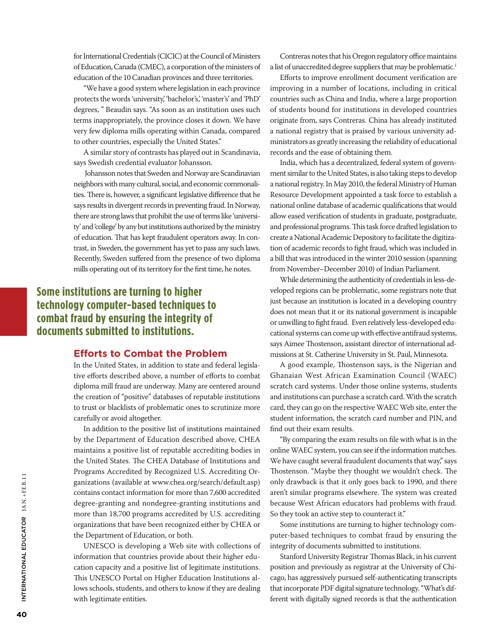for International Credentials (CICIC) at the Council of Ministers of Education, Canada (CMEC), a corporation of the ministers of education of the 10 Canadian provinces and three territories.

"We have a good system where legislation in each province protects the words 'university,' 'bachelor's,' 'master's' and 'PhD' degrees, " Beaudin says. "As soon as an institution uses such terms inappropriately, the province closes it down. We have very few diploma mills operating within Canada, compared to other countries, especially the United States."

A similar story of contrasts has played out in Scandinavia, says Swedish credential evaluator Johansson.

 Johansson notes that Sweden and Norway are Scandinavian neighbors with many cultural, social, and economic commonalities. There is, however, a significant legislative difference that he says results in divergent records in preventing fraud. In Norway, there are strong laws that prohibit the use of terms like 'university' and 'college' by any but institutions authorized by the ministry of education. That has kept fraudulent operators away. In contrast, in Sweden, the government has yet to pass any such laws. Recently, Sweden suffered from the presence of two diploma mills operating out of its territory for the first time, he notes.

## **Some institutions are turning to higher technology computer-based techniques to combat fraud by ensuring the integrity of documents submitted to institutions.**

#### **Efforts to Combat the Problem**

In the United States, in addition to state and federal legislative efforts described above, a number of efforts to combat diploma mill fraud are underway. Many are centered around the creation of "positive" databases of reputable institutions to trust or blacklists of problematic ones to scrutinize more carefully or avoid altogether.

In addition to the positive list of institutions maintained by the Department of Education described above, CHEA maintains a positive list of reputable accrediting bodies in the United States. The CHEA Database of Institutions and Programs Accredited by Recognized U.S. Accrediting Organizations (available at www.chea.org/search/default.asp) contains contact information for more than 7,600 accredited degree-granting and nondegree-granting institutions and more than 18,700 programs accredited by U.S. accrediting organizations that have been recognized either by CHEA or the Department of Education, or both.

UNESCO is developing a Web site with collections of information that countries provide about their higher education capacity and a positive list of legitimate institutions. This UNESCO Portal on Higher Education Institutions allows schools, students, and others to know if they are dealing with legitimate entities.

Contreras notes that his Oregon regulatory office maintains a list of unaccredited degree suppliers that may be problematic.<sup>1</sup>

Efforts to improve enrollment document verification are improving in a number of locations, including in critical countries such as China and India, where a large proportion of students bound for institutions in developed countries originate from, says Contreras. China has already instituted a national registry that is praised by various university administrators as greatly increasing the reliability of educational records and the ease of obtaining them.

India, which has a decentralized, federal system of government similar to the United States, is also taking steps to develop a national registry. In May 2010, the federal Ministry of Human Resource Development appointed a task force to establish a national online database of academic qualifications that would allow eased verification of students in graduate, postgraduate, and professional programs. This task force drafted legislation to create a National Academic Depository to facilitate the digitization of academic records to fight fraud, which was included in a bill that was introduced in the winter 2010 session (spanning from November–December 2010) of Indian Parliament.

While determining the authenticity of credentials in less-developed regions can be problematic, some registrars note that just because an institution is located in a developing country does not mean that it or its national government is incapable or unwilling to fight fraud. Even relatively less-developed educational systems can come up with effective antifraud systems, says Aimee Thostenson, assistant director of international admissions at St. Catherine University in St. Paul, Minnesota.

A good example, Thostenson says, is the Nigerian and Ghanaian West African Examination Council (WAEC) scratch card systems. Under those online systems, students and institutions can purchase a scratch card. With the scratch card, they can go on the respective WAEC Web site, enter the student information, the scratch card number and PIN, and find out their exam results.

"By comparing the exam results on file with what is in the online WAEC system, you can see if the information matches. We have caught several fraudulent documents that way," says Thostenson. "Maybe they thought we wouldn't check. The only drawback is that it only goes back to 1990, and there aren't similar programs elsewhere. The system was created because West African educators had problems with fraud. So they took an active step to counteract it."

Some institutions are turning to higher technology computer-based techniques to combat fraud by ensuring the integrity of documents submitted to institutions.

Stanford University Registrar Thomas Black, in his current position and previously as registrar at the University of Chicago, has aggressively pursued self-authenticating transcripts that incorporate PDF digital signature technology. "What's different with digitally signed records is that the authentication